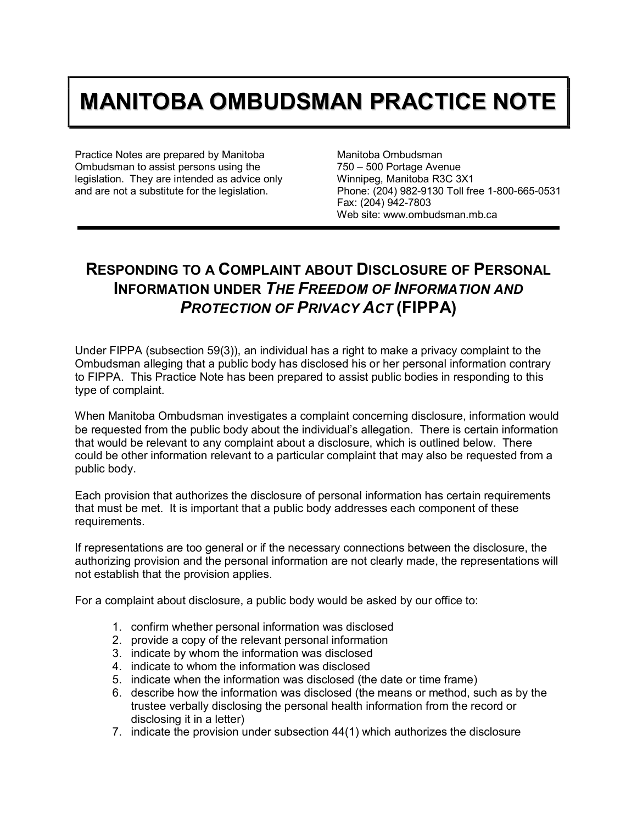## **MANITOBA OMBUDSMAN PRACTICE NOTE**

Practice Notes are prepared by Manitoba Ombudsman to assist persons using the legislation. They are intended as advice only and are not a substitute for the legislation.

Manitoba Ombudsman 750 – 500 Portage Avenue Winnipeg, Manitoba R3C 3X1 Phone: (204) 982-9130 Toll free 1-800-665-0531 Fax: (204) 942-7803 Web site: www.ombudsman.mb.ca

## **RESPONDING TO A COMPLAINT ABOUT DISCLOSURE OF PERSONAL INFORMATION UNDER** *THE FREEDOM OF INFORMATION AND PROTECTION OF PRIVACY ACT* **(FIPPA)**

Under FIPPA (subsection 59(3)), an individual has a right to make a privacy complaint to the Ombudsman alleging that a public body has disclosed his or her personal information contrary to FIPPA. This Practice Note has been prepared to assist public bodies in responding to this type of complaint.

When Manitoba Ombudsman investigates a complaint concerning disclosure, information would be requested from the public body about the individual's allegation. There is certain information that would be relevant to any complaint about a disclosure, which is outlined below. There could be other information relevant to a particular complaint that may also be requested from a public body.

Each provision that authorizes the disclosure of personal information has certain requirements that must be met. It is important that a public body addresses each component of these requirements.

If representations are too general or if the necessary connections between the disclosure, the authorizing provision and the personal information are not clearly made, the representations will not establish that the provision applies.

For a complaint about disclosure, a public body would be asked by our office to:

- 1. confirm whether personal information was disclosed
- 2. provide a copy of the relevant personal information
- 3. indicate by whom the information was disclosed
- 4. indicate to whom the information was disclosed
- 5. indicate when the information was disclosed (the date or time frame)
- 6. describe how the information was disclosed (the means or method, such as by the trustee verbally disclosing the personal health information from the record or disclosing it in a letter)
- 7. indicate the provision under subsection 44(1) which authorizes the disclosure